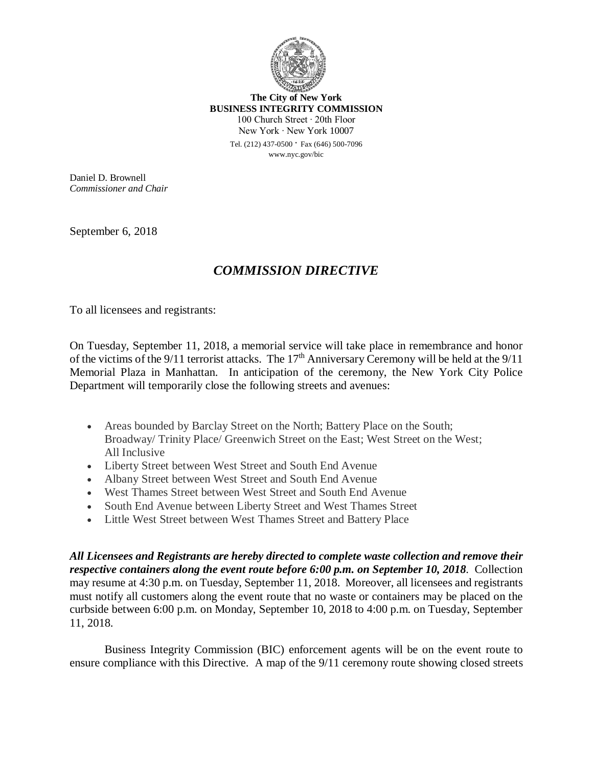

**The City of New York BUSINESS INTEGRITY COMMISSION** 100 Church Street ∙ 20th Floor New York ∙ New York 10007 Tel. (212) 437-0500 ∙ Fax (646) 500-7096 www.nyc.gov/bic

Daniel D. Brownell *Commissioner and Chair*

September 6, 2018

## *COMMISSION DIRECTIVE*

To all licensees and registrants:

On Tuesday, September 11, 2018, a memorial service will take place in remembrance and honor of the victims of the  $9/11$  terrorist attacks. The  $17<sup>th</sup>$  Anniversary Ceremony will be held at the  $9/11$ Memorial Plaza in Manhattan. In anticipation of the ceremony, the New York City Police Department will temporarily close the following streets and avenues:

- Areas bounded by Barclay Street on the North; Battery Place on the South; Broadway/ Trinity Place/ Greenwich Street on the East; West Street on the West; All Inclusive
- Liberty Street between West Street and South End Avenue
- Albany Street between West Street and South End Avenue
- West Thames Street between West Street and South End Avenue
- South End Avenue between Liberty Street and West Thames Street
- Little West Street between West Thames Street and Battery Place

*All Licensees and Registrants are hereby directed to complete waste collection and remove their respective containers along the event route before 6:00 p.m. on September 10, 2018.* Collection may resume at 4:30 p.m. on Tuesday, September 11, 2018. Moreover, all licensees and registrants must notify all customers along the event route that no waste or containers may be placed on the curbside between 6:00 p.m. on Monday, September 10, 2018 to 4:00 p.m. on Tuesday, September 11, 2018.

Business Integrity Commission (BIC) enforcement agents will be on the event route to ensure compliance with this Directive. A map of the 9/11 ceremony route showing closed streets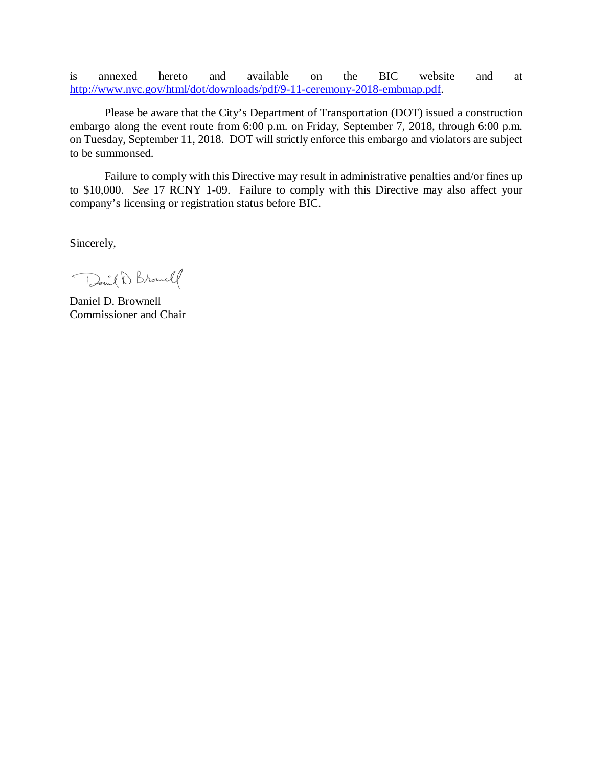is annexed hereto and available on the BIC website and at http://www.nyc.gov/html/dot/downloads/pdf/9-11-ceremony-2018-embmap.pdf.

Please be aware that the City's Department of Transportation (DOT) issued a construction embargo along the event route from 6:00 p.m. on Friday, September 7, 2018, through 6:00 p.m. on Tuesday, September 11, 2018. DOT will strictly enforce this embargo and violators are subject to be summonsed.

Failure to comply with this Directive may result in administrative penalties and/or fines up to \$10,000. *See* 17 RCNY 1-09. Failure to comply with this Directive may also affect your company's licensing or registration status before BIC.

Sincerely,

David D. Browell

Daniel D. Brownell Commissioner and Chair